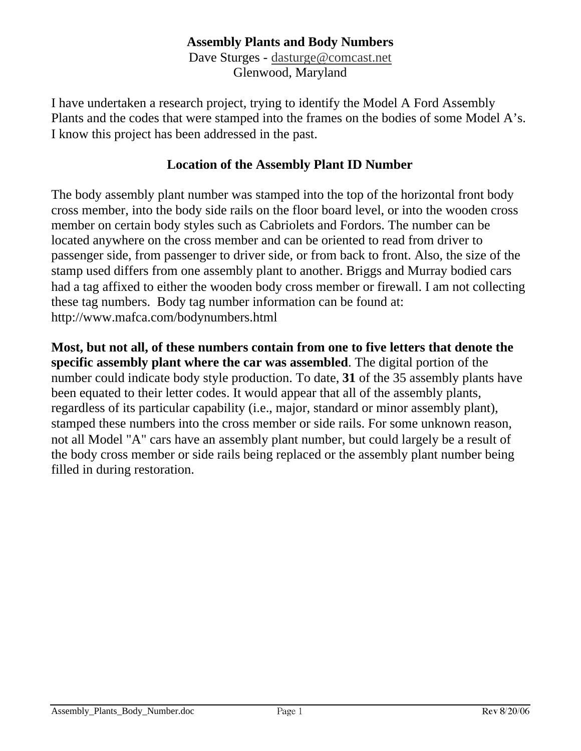## **Assembly Plants and Body Numbers**

Dave Sturges - [dasturge@comcast.net](mailto:dasturge@comcast.net) Glenwood, Maryland

I have undertaken a research project, trying to identify the Model A Ford Assembly Plants and the codes that were stamped into the frames on the bodies of some Model A's. I know this project has been addressed in the past.

#### **Location of the Assembly Plant ID Number**

The body assembly plant number was stamped into the top of the horizontal front body cross member, into the body side rails on the floor board level, or into the wooden cross member on certain body styles such as Cabriolets and Fordors. The number can be located anywhere on the cross member and can be oriented to read from driver to passenger side, from passenger to driver side, or from back to front. Also, the size of the stamp used differs from one assembly plant to another. Briggs and Murray bodied cars had a tag affixed to either the wooden body cross member or firewall. I am not collecting these tag numbers. Body tag number information can be found at: <http://www.mafca.com/bodynumbers.html>

**Most, but not all, of these numbers contain from one to five letters that denote the specific assembly plant where the car was assembled**. The digital portion of the number could indicate body style production. To date, **31** of the 35 assembly plants have been equated to their letter codes. It would appear that all of the assembly plants, regardless of its particular capability (i.e., major, standard or minor assembly plant), stamped these numbers into the cross member or side rails. For some unknown reason, not all Model "A" cars have an assembly plant number, but could largely be a result of the body cross member or side rails being replaced or the assembly plant number being filled in during restoration.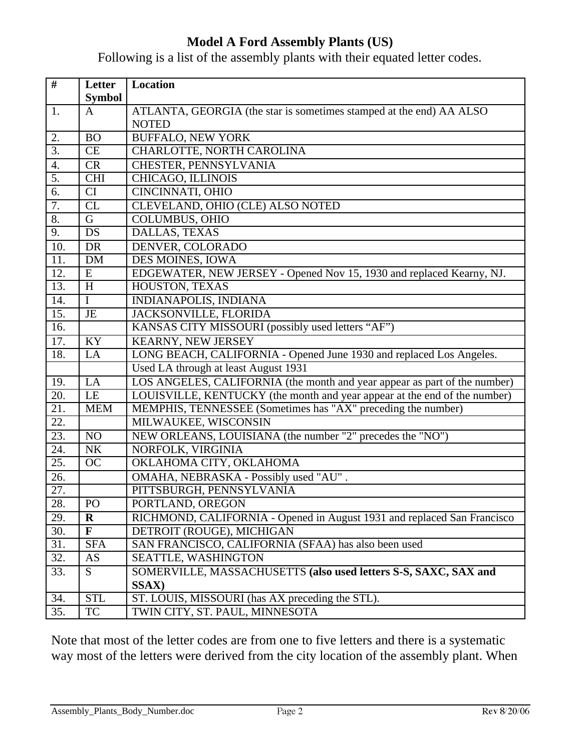# **Model A Ford Assembly Plants (US)**

Following is a list of the assembly plants with their equated letter codes.

| #                 | Letter         | Location                                                                  |  |
|-------------------|----------------|---------------------------------------------------------------------------|--|
|                   | <b>Symbol</b>  |                                                                           |  |
| 1.                | A              | ATLANTA, GEORGIA (the star is sometimes stamped at the end) AA ALSO       |  |
|                   |                | <b>NOTED</b>                                                              |  |
| 2.                | <b>BO</b>      | <b>BUFFALO, NEW YORK</b>                                                  |  |
| $\overline{3}$ .  | CE             | CHARLOTTE, NORTH CAROLINA                                                 |  |
| 4.                | <b>CR</b>      | CHESTER, PENNSYLVANIA                                                     |  |
| 5.                | <b>CHI</b>     | CHICAGO, ILLINOIS                                                         |  |
| 6.                | CI             | CINCINNATI, OHIO                                                          |  |
| 7.                | CL             | CLEVELAND, OHIO (CLE) ALSO NOTED                                          |  |
| 8.                | $\overline{G}$ | <b>COLUMBUS, OHIO</b>                                                     |  |
| 9.                | DS             | DALLAS, TEXAS                                                             |  |
| 10.               | <b>DR</b>      | DENVER, COLORADO                                                          |  |
| 11.               | DM             | <b>DES MOINES, IOWA</b>                                                   |  |
| 12.               | E              | EDGEWATER, NEW JERSEY - Opened Nov 15, 1930 and replaced Kearny, NJ.      |  |
| 13.               | H              | HOUSTON, TEXAS                                                            |  |
| 14.               | $\mathbf I$    | <b>INDIANAPOLIS, INDIANA</b>                                              |  |
| $\overline{15}$ . | $\rm{JE}$      | JACKSONVILLE, FLORIDA                                                     |  |
| 16.               |                | KANSAS CITY MISSOURI (possibly used letters "AF")                         |  |
| 17.               | KY             | KEARNY, NEW JERSEY                                                        |  |
| 18.               | LA             | LONG BEACH, CALIFORNIA - Opened June 1930 and replaced Los Angeles.       |  |
|                   |                | Used LA through at least August 1931                                      |  |
| 19.               | LA             | LOS ANGELES, CALIFORNIA (the month and year appear as part of the number) |  |
| 20.               | LE             | LOUISVILLE, KENTUCKY (the month and year appear at the end of the number) |  |
| 21.               | <b>MEM</b>     | MEMPHIS, TENNESSEE (Sometimes has "AX" preceding the number)              |  |
| 22.               |                | MILWAUKEE, WISCONSIN                                                      |  |
| $\overline{23}$ . | NO             | NEW ORLEANS, LOUISIANA (the number "2" precedes the "NO")                 |  |
| 24.               | NK             | NORFOLK, VIRGINIA                                                         |  |
| $\overline{25}$ . | <b>OC</b>      | OKLAHOMA CITY, OKLAHOMA                                                   |  |
| 26.               |                | OMAHA, NEBRASKA - Possibly used "AU".                                     |  |
| $\overline{27}$ . |                | PITTSBURGH, PENNSYLVANIA                                                  |  |
| 28.               | $\rm PO$       | PORTLAND, OREGON                                                          |  |
| 29.               | $\bf R$        | RICHMOND, CALIFORNIA - Opened in August 1931 and replaced San Francisco   |  |
| 30.               | $\mathbf{F}$   | DETROIT (ROUGE), MICHIGAN                                                 |  |
| 31.               | <b>SFA</b>     | SAN FRANCISCO, CALIFORNIA (SFAA) has also been used                       |  |
| 32.               | AS             | SEATTLE, WASHINGTON                                                       |  |
| 33.               | S              | SOMERVILLE, MASSACHUSETTS (also used letters S-S, SAXC, SAX and           |  |
|                   |                | SSAX)                                                                     |  |
| 34.               | <b>STL</b>     | ST. LOUIS, MISSOURI (has AX preceding the STL).                           |  |
| 35.               | TC             | TWIN CITY, ST. PAUL, MINNESOTA                                            |  |

Note that most of the letter codes are from one to five letters and there is a systematic way most of the letters were derived from the city location of the assembly plant. When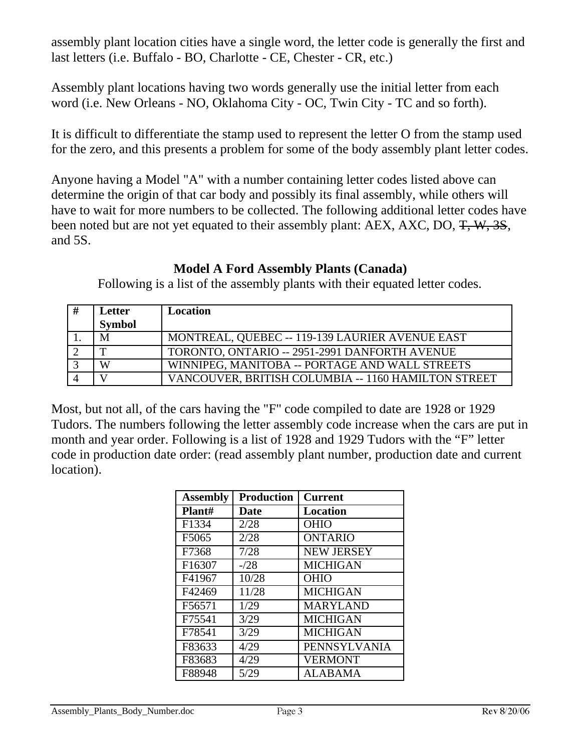assembly plant location cities have a single word, the letter code is generally the first and last letters (i.e. Buffalo - BO, Charlotte - CE, Chester - CR, etc.)

Assembly plant locations having two words generally use the initial letter from each word (i.e. New Orleans - NO, Oklahoma City - OC, Twin City - TC and so forth).

It is difficult to differentiate the stamp used to represent the letter O from the stamp used for the zero, and this presents a problem for some of the body assembly plant letter codes.

Anyone having a Model "A" with a number containing letter codes listed above can determine the origin of that car body and possibly its final assembly, while others will have to wait for more numbers to be collected. The following additional letter codes have been noted but are not yet equated to their assembly plant: AEX, AXC, DO, T, W, 3S, and 5S.

# **Model A Ford Assembly Plants (Canada)**

Following is a list of the assembly plants with their equated letter codes.

| Letter        | Location                                            |
|---------------|-----------------------------------------------------|
| <b>Symbol</b> |                                                     |
| M             | MONTREAL, QUEBEC -- 119-139 LAURIER AVENUE EAST     |
| m             | TORONTO, ONTARIO -- 2951-2991 DANFORTH AVENUE       |
| W             | WINNIPEG, MANITOBA -- PORTAGE AND WALL STREETS      |
|               | VANCOUVER, BRITISH COLUMBIA -- 1160 HAMILTON STREET |

Most, but not all, of the cars having the "F" code compiled to date are 1928 or 1929 Tudors. The numbers following the letter assembly code increase when the cars are put in month and year order. Following is a list of 1928 and 1929 Tudors with the "F" letter code in production date order: (read assembly plant number, production date and current location).

| <b>Assembly</b> | <b>Production</b> | <b>Current</b>      |
|-----------------|-------------------|---------------------|
| Plant#          | <b>Date</b>       | <b>Location</b>     |
| F1334           | 2/28              | <b>OHIO</b>         |
| F5065           | 2/28              | <b>ONTARIO</b>      |
| F7368           | 7/28              | <b>NEW JERSEY</b>   |
| F16307          | $-28$             | <b>MICHIGAN</b>     |
| F41967          | 10/28             | <b>OHIO</b>         |
| F42469          | 11/28             | <b>MICHIGAN</b>     |
| F56571          | 1/29              | <b>MARYLAND</b>     |
| F75541          | 3/29              | <b>MICHIGAN</b>     |
| F78541          | 3/29              | <b>MICHIGAN</b>     |
| F83633          | 4/29              | <b>PENNSYLVANIA</b> |
| F83683          | 4/29              | <b>VERMONT</b>      |
| F88948          | 5/29              | ALABAMA             |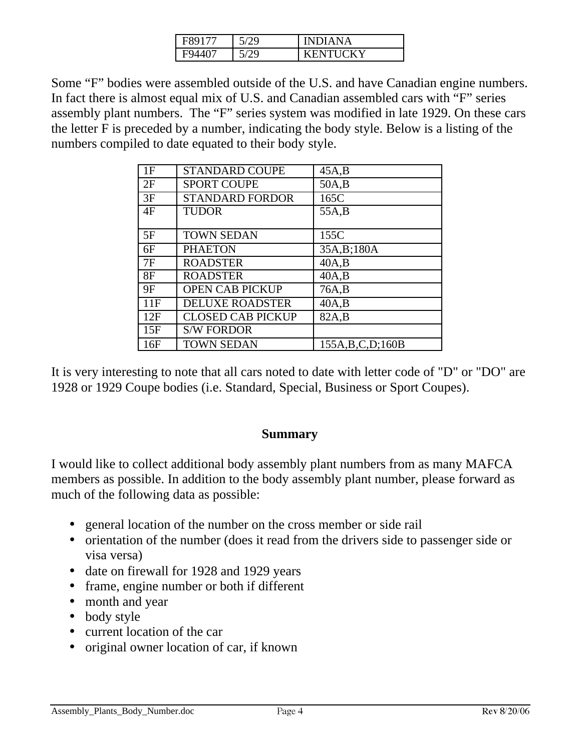| r89177 | 5/29        | <b>INDIANA</b>      |
|--------|-------------|---------------------|
| 407    | $^{\prime}$ | <b>ENTHCKY</b><br>K |

Some "F" bodies were assembled outside of the U.S. and have Canadian engine numbers. In fact there is almost equal mix of U.S. and Canadian assembled cars with "F" series assembly plant numbers. The "F" series system was modified in late 1929. On these cars the letter F is preceded by a number, indicating the body style. Below is a listing of the numbers compiled to date equated to their body style.

| 1F  | <b>STANDARD COUPE</b>    | 45A,B               |
|-----|--------------------------|---------------------|
| 2F  | <b>SPORT COUPE</b>       | 50A,B               |
| 3F  | <b>STANDARD FORDOR</b>   | 165C                |
| 4F  | <b>TUDOR</b>             | 55A, B              |
|     |                          |                     |
| 5F  | <b>TOWN SEDAN</b>        | 155C                |
| 6F  | <b>PHAETON</b>           | 35A, B; 180A        |
| 7F  | <b>ROADSTER</b>          | 40A,B               |
| 8F  | <b>ROADSTER</b>          | 40A,B               |
| 9F  | <b>OPEN CAB PICKUP</b>   | 76A,B               |
| 11F | <b>DELUXE ROADSTER</b>   | 40A,B               |
| 12F | <b>CLOSED CAB PICKUP</b> | 82A,B               |
| 15F | <b>S/W FORDOR</b>        |                     |
| 16F | <b>TOWN SEDAN</b>        | 155A, B, C, D; 160B |

It is very interesting to note that all cars noted to date with letter code of "D" or "DO" are 1928 or 1929 Coupe bodies (i.e. Standard, Special, Business or Sport Coupes).

#### **Summary**

I would like to collect additional body assembly plant numbers from as many MAFCA members as possible. In addition to the body assembly plant number, please forward as much of the following data as possible:

- general location of the number on the cross member or side rail
- orientation of the number (does it read from the drivers side to passenger side or visa versa)
- date on firewall for 1928 and 1929 years
- frame, engine number or both if different
- month and year
- body style
- current location of the car
- original owner location of car, if known